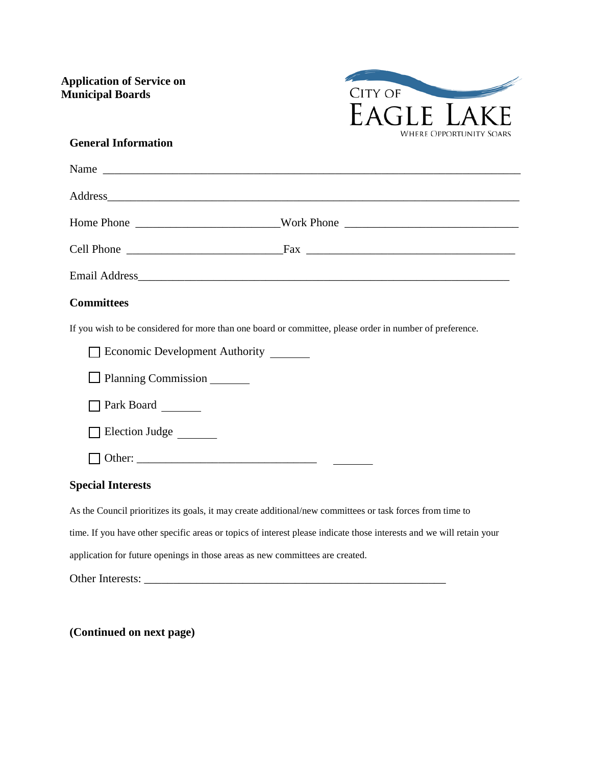**Application of Service on Municipal Boards**



## **General Information**

| Name                                                                                                                                                                                                                           |  |
|--------------------------------------------------------------------------------------------------------------------------------------------------------------------------------------------------------------------------------|--|
| Address and the contract of the contract of the contract of the contract of the contract of the contract of the contract of the contract of the contract of the contract of the contract of the contract of the contract of th |  |
|                                                                                                                                                                                                                                |  |
|                                                                                                                                                                                                                                |  |
|                                                                                                                                                                                                                                |  |
| <b>Committees</b>                                                                                                                                                                                                              |  |
| If you wish to be considered for more than one board or committee, please order in number of preference.                                                                                                                       |  |
| Economic Development Authority                                                                                                                                                                                                 |  |
| Planning Commission                                                                                                                                                                                                            |  |
| Park Board                                                                                                                                                                                                                     |  |
| Election Judge                                                                                                                                                                                                                 |  |
|                                                                                                                                                                                                                                |  |
| <b>Special Interests</b>                                                                                                                                                                                                       |  |
| As the Council prioritizes its goals, it may create additional/new committees or task forces from time to                                                                                                                      |  |
| time. If you have other specific areas or topics of interest please indicate those interests and we will retain your                                                                                                           |  |
| application for future openings in those areas as new committees are created.                                                                                                                                                  |  |
|                                                                                                                                                                                                                                |  |

**(Continued on next page)**